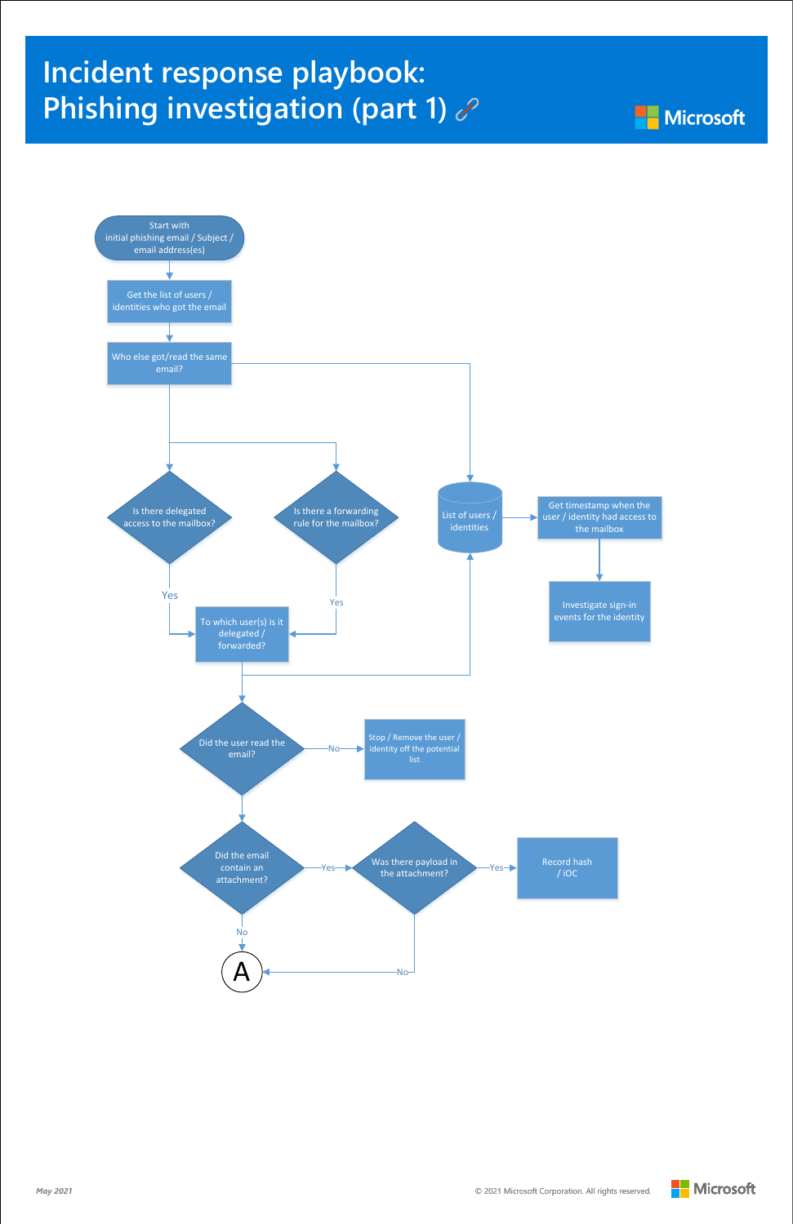

## **Incident response playbook: [Phishing investigation \(part 1\)](https://docs.microsoft.com/security/compass/incident-response-playbook-phishing)**





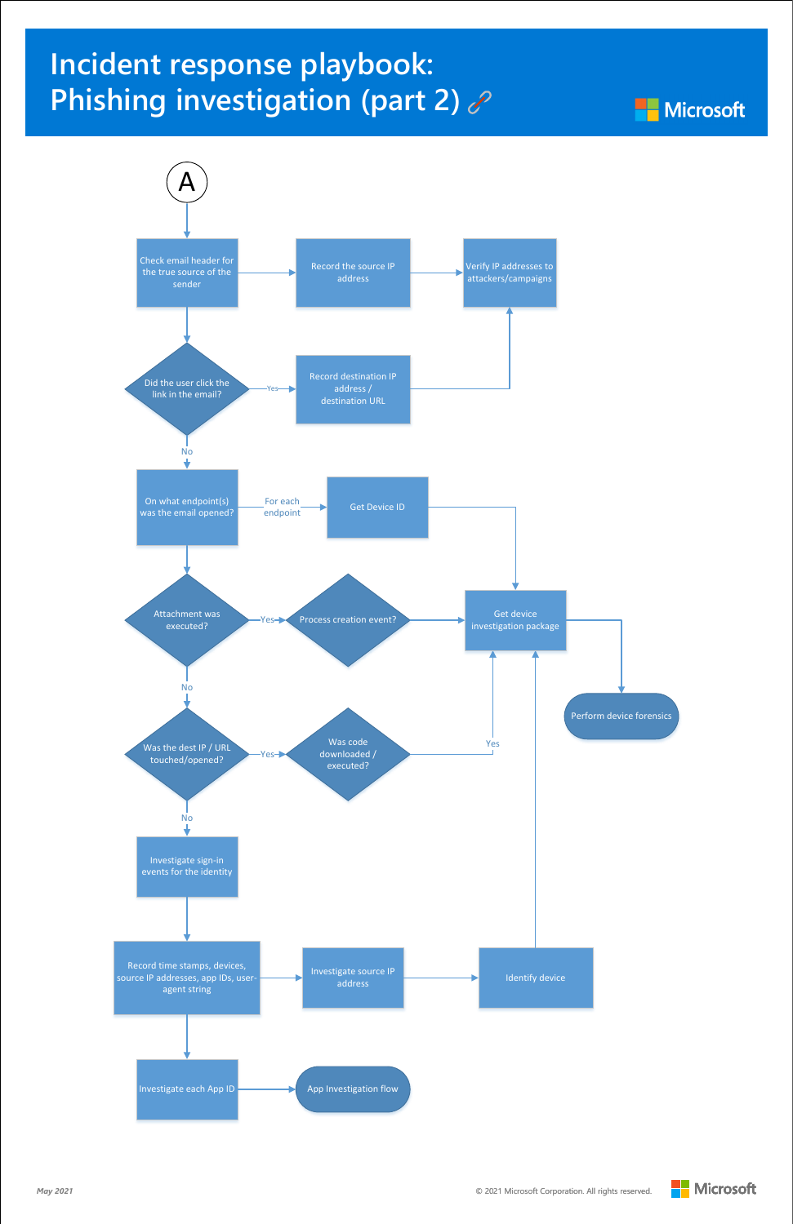



**Microsoft** 



## **Incident response playbook: [Phishing investigation \(part 2\)](https://docs.microsoft.com/security/compass/incident-response-playbook-phishing)**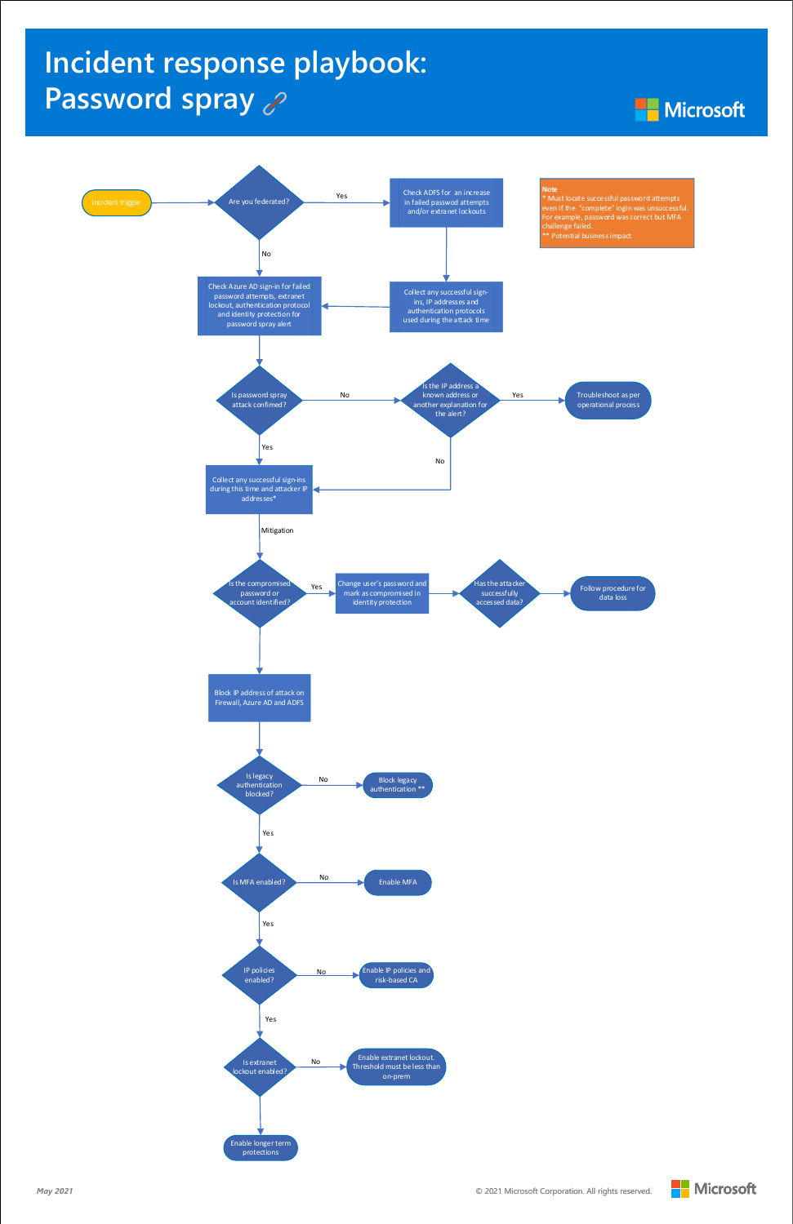

## **[Incident response playbook:](https://docs.microsoft.com/security/compass/incident-response-playbook-password-spray)  Password spray**

**Microsoft**